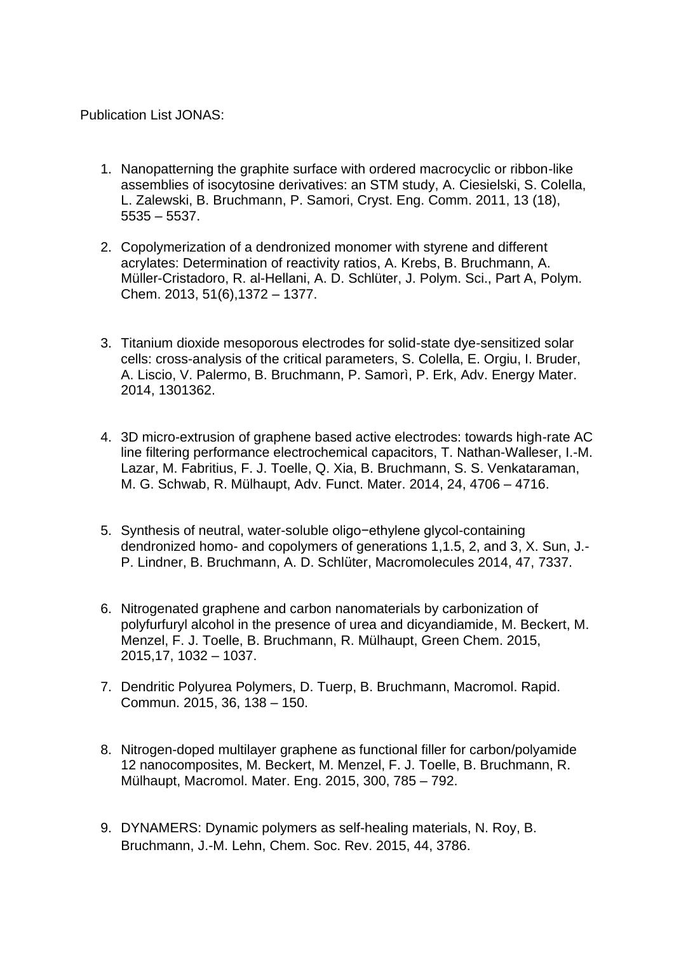Publication List JONAS:

- 1. Nanopatterning the graphite surface with ordered macrocyclic or ribbon-like assemblies of isocytosine derivatives: an STM study, A. [Ciesielski,](https://www.researchgate.net/researcher/2000370722_A_Ciesielski/) [S. Colella,](https://www.researchgate.net/researcher/80782399_S_Colella/) [L. Zalewski,](https://www.researchgate.net/researcher/31004243_L_Zalewski/) B. Bruchmann, [P. Samori,](https://www.researchgate.net/researcher/38221685_P_Samori/) Cryst. Eng. Comm. 2011, 13 (18), 5535 – 5537.
- 2. [Copolymerization of a dendronized monomer with styrene and different](https://www.researchgate.net/publication/256000901_Copolymerization_of_a_dendronized_monomer_with_styrene_and_different_acrylates_Determination_of_reactivity_ratios?ev=prf_pub)  [acrylates: Determination of reactivity ratios,](https://www.researchgate.net/publication/256000901_Copolymerization_of_a_dendronized_monomer_with_styrene_and_different_acrylates_Determination_of_reactivity_ratios?ev=prf_pub) A. [Krebs,](https://www.researchgate.net/researcher/2029126906_Anke_Krebs/) B. Bruchmann, [A.](https://www.researchgate.net/researcher/2029121861_Anna_Mueller-Cristadoro/) [Müller-Cristadoro,](https://www.researchgate.net/researcher/2029121861_Anna_Mueller-Cristadoro/) R. [al-Hellani,](https://www.researchgate.net/researcher/32218372_Rabie_al-Hellani/) A. D. [Schlüter,](https://www.researchgate.net/researcher/53402115_A_Dieter_Schlueter/) J. Polym. Sci., Part A, Polym. Chem. 2013, 51(6),1372 – 1377.
- 3. Titanium dioxide mesoporous electrodes for solid-state dye-sensitized solar cells: cross-analysis of the critical parameters, S. Colella, E. Orgiu, I. Bruder, A. Liscio, V. Palermo, B. Bruchmann, P. Samorì, P. Erk, Adv. Energy Mater. 2014, 1301362.
- 4. 3D micro-extrusion of graphene based active electrodes: towards high-rate AC line filtering performance electrochemical capacitors, T. Nathan-Walleser, I.-M. Lazar, M. Fabritius, F. J. Toelle, Q. Xia, B. Bruchmann, S. S. Venkataraman, M. G. Schwab, R. Mülhaupt, Adv. Funct. Mater. 2014, 24, 4706 – 4716.
- 5. Synthesis of neutral, water-soluble oligo−ethylene glycol-containing dendronized homo- and copolymers of generations 1,1.5, 2, and 3, X. Sun, J.- P. Lindner, B. Bruchmann, A. D. Schlüter, Macromolecules 2014, 47, 7337.
- 6. Nitrogenated graphene and carbon nanomaterials by carbonization of polyfurfuryl alcohol in the presence of urea and dicyandiamide, M. Beckert, M. Menzel, F. J. Toelle, B. Bruchmann, R. Mülhaupt, Green Chem. 2015, 2015,17, 1032 – 1037.
- 7. Dendritic Polyurea Polymers, D. Tuerp, B. Bruchmann, Macromol. Rapid. Commun. 2015, 36, 138 – 150.
- 8. Nitrogen-doped multilayer graphene as functional filler for carbon/polyamide 12 nanocomposites, M. Beckert, M. Menzel, F. J. Toelle, B. Bruchmann, R. Mülhaupt, Macromol. Mater. Eng. 2015, 300, 785 – 792.
- 9. DYNAMERS: Dynamic polymers as self-healing materials, N. Roy, B. Bruchmann, J.-M. Lehn, Chem. Soc. Rev. 2015, 44, 3786.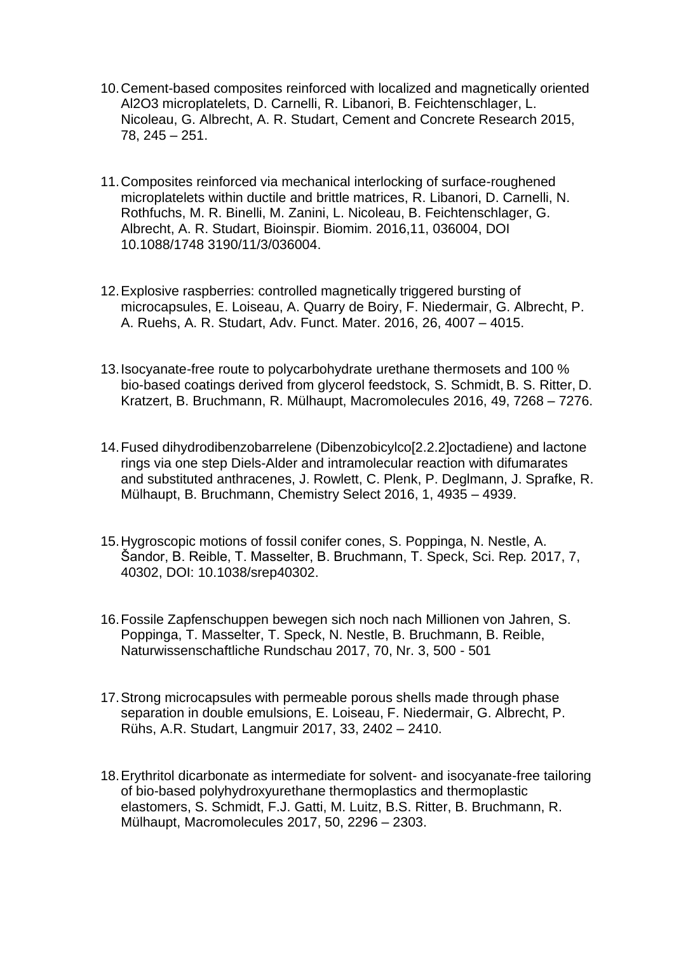- 10.Cement-based composites reinforced with localized and magnetically oriented Al2O3 microplatelets, D. Carnelli, R. Libanori, B. Feichtenschlager, L. Nicoleau, G. Albrecht, A. R. Studart, Cement and Concrete Research 2015, 78, 245 – 251.
- 11.Composites reinforced via mechanical interlocking of surface-roughened microplatelets within ductile and brittle matrices, R. Libanori, D. Carnelli, N. Rothfuchs, M. R. Binelli, M. Zanini, L. Nicoleau, B. Feichtenschlager, G. Albrecht, A. R. Studart, Bioinspir. Biomim. 2016,11, 036004, DOI 10.1088/1748 3190/11/3/036004.
- 12.Explosive raspberries: controlled magnetically triggered bursting of microcapsules, E. Loiseau, A. Quarry de Boiry, F. Niedermair, G. Albrecht, P. A. Ruehs, A. R. Studart, Adv. Funct. Mater. 2016, 26, 4007 – 4015.
- 13.Isocyanate-free route to polycarbohydrate urethane thermosets and 100 % bio-based coatings derived from glycerol feedstock, S. Schmidt, B. S. Ritter, D. Kratzert, B. Bruchmann, R. Mülhaupt, Macromolecules 2016, 49, 7268 – 7276.
- 14.Fused dihydrodibenzobarrelene (Dibenzobicylco[2.2.2]octadiene) and lactone rings via one step Diels-Alder and intramolecular reaction with difumarates and substituted anthracenes, J. Rowlett, C. Plenk, P. Deglmann, J. Sprafke, R. Mülhaupt, B. Bruchmann, Chemistry Select 2016, 1, 4935 – 4939.
- 15.Hygroscopic motions of fossil conifer cones, S. Poppinga, N. Nestle, A. Šandor, B. Reible, T. Masselter, B. Bruchmann, T. Speck, Sci. Rep*.* 2017, 7, 40302, DOI: 10.1038/srep40302.
- 16.Fossile Zapfenschuppen bewegen sich noch nach Millionen von Jahren, S. Poppinga, T. Masselter, T. Speck, N. Nestle, B. Bruchmann, B. Reible, Naturwissenschaftliche Rundschau 2017, 70, Nr. 3, 500 - 501
- 17.Strong microcapsules with permeable porous shells made through phase separation in double emulsions, E. Loiseau, F. Niedermair, G. Albrecht, P. Rühs, A.R. Studart, Langmuir 2017, 33, 2402 – 2410.
- 18.Erythritol dicarbonate as intermediate for solvent- and isocyanate-free tailoring of bio-based polyhydroxyurethane thermoplastics and thermoplastic elastomers, S. Schmidt, F.J. Gatti, M. Luitz, B.S. Ritter, B. Bruchmann, R. Mülhaupt, Macromolecules 2017, 50, 2296 – 2303.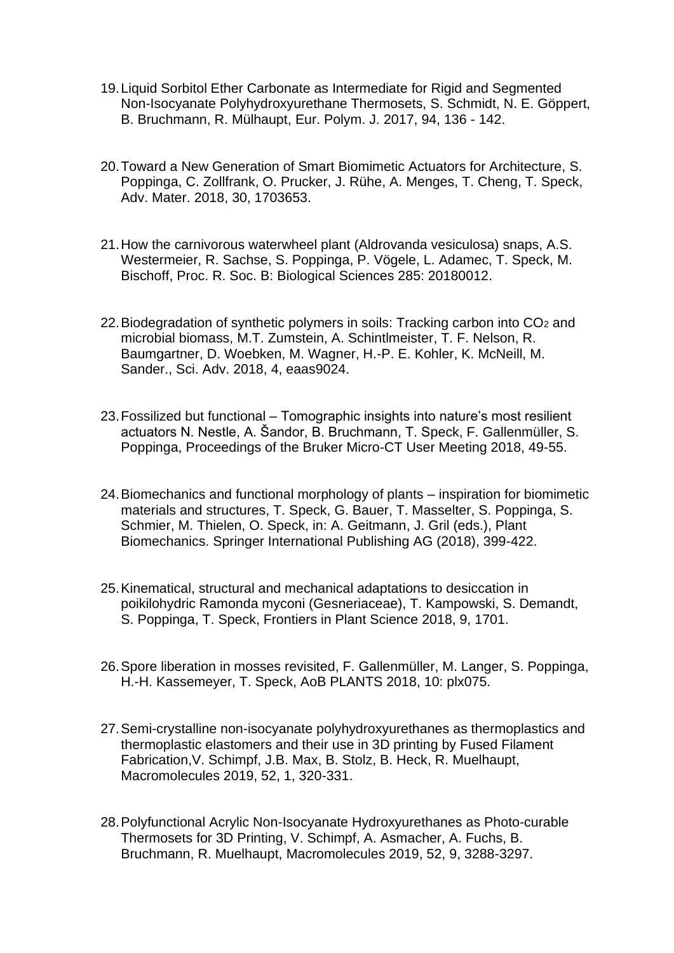- 19.Liquid Sorbitol Ether Carbonate as Intermediate for Rigid and Segmented Non-Isocyanate Polyhydroxyurethane Thermosets, S. Schmidt, N. E. Göppert, B. Bruchmann, R. Mülhaupt, Eur. Polym. J. 2017, 94, 136 - 142.
- 20.Toward a New Generation of Smart Biomimetic Actuators for Architecture, S. Poppinga, C. Zollfrank, O. Prucker, J. Rühe, A. Menges, T. Cheng, T. Speck, Adv. Mater. 2018, 30, 1703653.
- 21.How the carnivorous waterwheel plant (Aldrovanda vesiculosa) snaps, A.S. Westermeier, R. Sachse, S. Poppinga, P. Vögele, L. Adamec, T. Speck, M. Bischoff, Proc. R. Soc. B: Biological Sciences 285: 20180012.
- 22. Biodegradation of synthetic polymers in soils: Tracking carbon into  $CO<sub>2</sub>$  and microbial biomass, M.T. Zumstein, A. Schintlmeister, T. F. Nelson, R. Baumgartner, D. Woebken, M. Wagner, H.-P. E. Kohler, K. McNeill, M. Sander., Sci. Adv. 2018, 4, eaas9024.
- 23.Fossilized but functional Tomographic insights into nature's most resilient actuators N. Nestle, A. Šandor, B. Bruchmann, T. Speck, F. Gallenmüller, S. Poppinga, Proceedings of the Bruker Micro-CT User Meeting 2018, 49-55.
- 24.Biomechanics and functional morphology of plants inspiration for biomimetic materials and structures, T. Speck, G. Bauer, T. Masselter, S. Poppinga, S. Schmier, M. Thielen, O. Speck, in: A. Geitmann, J. Gril (eds.), Plant Biomechanics. Springer International Publishing AG (2018), 399-422.
- 25.Kinematical, structural and mechanical adaptations to desiccation in poikilohydric Ramonda myconi (Gesneriaceae), T. Kampowski, S. Demandt, S. Poppinga, T. Speck, Frontiers in Plant Science 2018, 9, 1701.
- 26.Spore liberation in mosses revisited, F. Gallenmüller, M. Langer, S. Poppinga, H.-H. Kassemeyer, T. Speck, AoB PLANTS 2018, 10: plx075.
- 27.Semi-crystalline non-isocyanate polyhydroxyurethanes as thermoplastics and thermoplastic elastomers and their use in 3D printing by Fused Filament Fabrication,V. Schimpf, J.B. Max, B. Stolz, B. Heck, R. Muelhaupt, Macromolecules 2019, 52, 1, 320-331.
- 28.Polyfunctional Acrylic Non-Isocyanate Hydroxyurethanes as Photo-curable Thermosets for 3D Printing, V. Schimpf, A. Asmacher, A. Fuchs, B. Bruchmann, R. Muelhaupt, Macromolecules 2019, 52, 9, 3288-3297.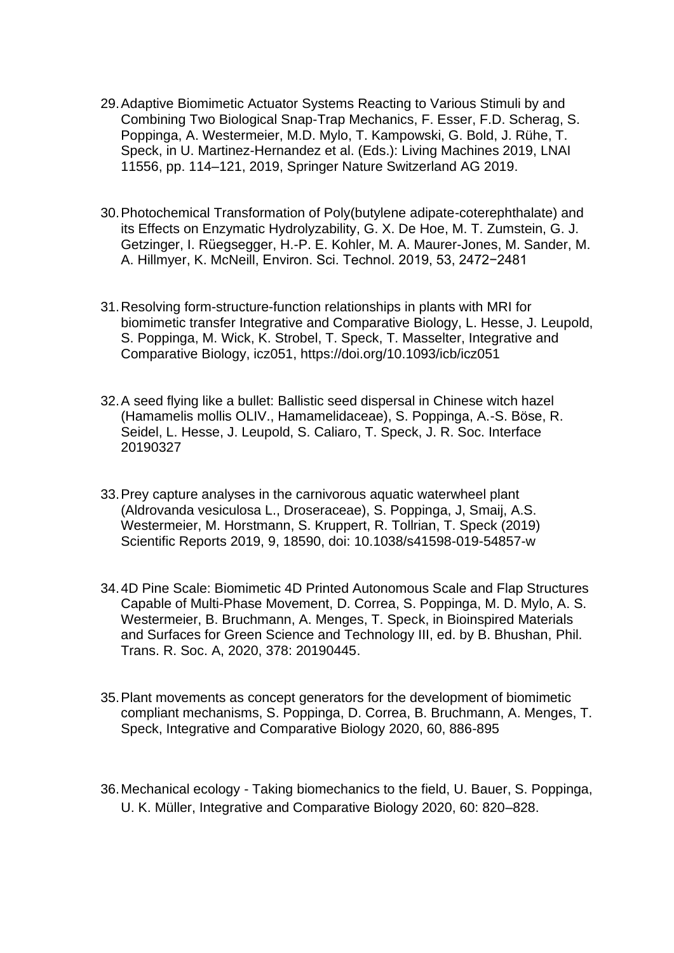- 29.Adaptive Biomimetic Actuator Systems Reacting to Various Stimuli by and Combining Two Biological Snap-Trap Mechanics, F. Esser, F.D. Scherag, S. Poppinga, A. Westermeier, M.D. Mylo, T. Kampowski, G. Bold, J. Rühe, T. Speck, in U. Martinez-Hernandez et al. (Eds.): Living Machines 2019, LNAI 11556, pp. 114–121, 2019, Springer Nature Switzerland AG 2019.
- 30.Photochemical Transformation of Poly(butylene adipate-coterephthalate) and its Effects on Enzymatic Hydrolyzability, G. X. De Hoe, M. T. Zumstein, G. J. Getzinger, I. Rüegsegger, H.-P. E. Kohler, M. A. Maurer-Jones, M. Sander, M. A. Hillmyer, K. McNeill, Environ. Sci. Technol. 2019, 53, 2472−2481
- 31.Resolving form-structure-function relationships in plants with MRI for biomimetic transfer Integrative and Comparative Biology, L. Hesse, J. Leupold, S. Poppinga, M. Wick, K. Strobel, T. Speck, T. Masselter, Integrative and Comparative Biology, icz051, https://doi.org/10.1093/icb/icz051
- 32.A seed flying like a bullet: Ballistic seed dispersal in Chinese witch hazel (Hamamelis mollis OLIV., Hamamelidaceae), S. Poppinga, A.-S. Böse, R. Seidel, L. Hesse, J. Leupold, S. Caliaro, T. Speck, J. R. Soc. Interface 20190327
- 33.Prey capture analyses in the carnivorous aquatic waterwheel plant (Aldrovanda vesiculosa L., Droseraceae), S. Poppinga, J, Smaij, A.S. Westermeier, M. Horstmann, S. Kruppert, R. Tollrian, T. Speck (2019) Scientific Reports 2019, 9, 18590, doi: 10.1038/s41598-019-54857-w
- 34.4D Pine Scale: Biomimetic 4D Printed Autonomous Scale and Flap Structures Capable of Multi-Phase Movement, D. Correa, S. Poppinga, M. D. Mylo, A. S. Westermeier, B. Bruchmann, A. Menges, T. Speck, in Bioinspired Materials and Surfaces for Green Science and Technology III, ed. by B. Bhushan, Phil. Trans. R. Soc. A, 2020, 378: 20190445.
- 35.Plant movements as concept generators for the development of biomimetic compliant mechanisms, S. Poppinga, D. Correa, B. Bruchmann, A. Menges, T. Speck, Integrative and Comparative Biology 2020, 60, 886-895
- 36.Mechanical ecology Taking biomechanics to the field, U. Bauer, S. Poppinga, U. K. Müller, Integrative and Comparative Biology 2020, 60: 820–828.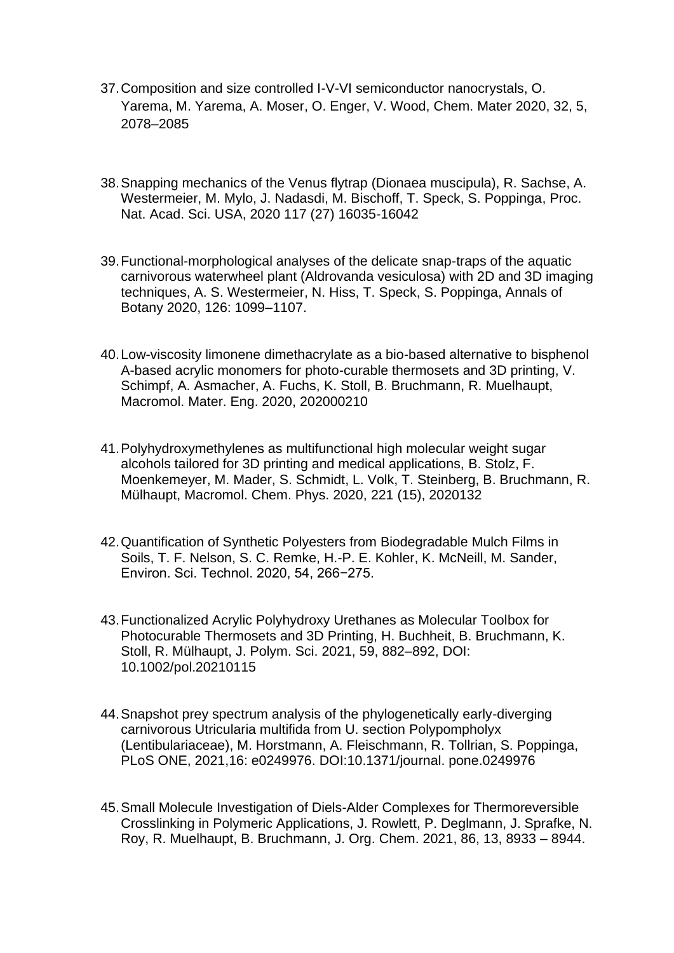- 37.Composition and size controlled I-V-VI semiconductor nanocrystals, O. Yarema, M. Yarema, A. Moser, O. Enger, V. Wood, Chem. Mater 2020, 32, 5, 2078–2085
- 38.Snapping mechanics of the Venus flytrap (Dionaea muscipula), R. Sachse, A. Westermeier, M. Mylo, J. Nadasdi, M. Bischoff, T. Speck, S. Poppinga, Proc. Nat. Acad. Sci. USA, 2020 117 (27) 16035-16042
- 39.Functional-morphological analyses of the delicate snap-traps of the aquatic carnivorous waterwheel plant (Aldrovanda vesiculosa) with 2D and 3D imaging techniques, A. S. Westermeier, N. Hiss, T. Speck, S. Poppinga, Annals of Botany 2020, 126: 1099–1107.
- 40.Low-viscosity limonene dimethacrylate as a bio-based alternative to bisphenol A-based acrylic monomers for photo-curable thermosets and 3D printing, V. Schimpf, A. Asmacher, A. Fuchs, K. Stoll, B. Bruchmann, R. Muelhaupt, Macromol. Mater. Eng. 2020, 202000210
- 41.Polyhydroxymethylenes as multifunctional high molecular weight sugar alcohols tailored for 3D printing and medical applications, B. Stolz, F. Moenkemeyer, M. Mader, S. Schmidt, L. Volk, T. Steinberg, B. Bruchmann, R. Mülhaupt, Macromol. Chem. Phys. 2020, 221 (15), 2020132
- 42.Quantification of Synthetic Polyesters from Biodegradable Mulch Films in Soils, T. F. Nelson, S. C. Remke, H.-P. E. Kohler, K. McNeill, M. Sander, Environ. Sci. Technol. 2020, 54, 266−275.
- 43.Functionalized Acrylic Polyhydroxy Urethanes as Molecular Toolbox for Photocurable Thermosets and 3D Printing, H. Buchheit, B. Bruchmann, K. Stoll, R. Mülhaupt, J. Polym. Sci. 2021, 59, 882–892, DOI: 10.1002/pol.20210115
- 44.Snapshot prey spectrum analysis of the phylogenetically early-diverging carnivorous Utricularia multifida from U. section Polypompholyx (Lentibulariaceae), M. Horstmann, A. Fleischmann, R. Tollrian, S. Poppinga, PLoS ONE, 2021,16: e0249976. DOI:10.1371/journal. pone.0249976
- 45.Small Molecule Investigation of Diels-Alder Complexes for Thermoreversible Crosslinking in Polymeric Applications, J. Rowlett, P. Deglmann, J. Sprafke, N. Roy, R. Muelhaupt, B. Bruchmann, J. Org. Chem. 2021, 86, 13, 8933 – 8944.